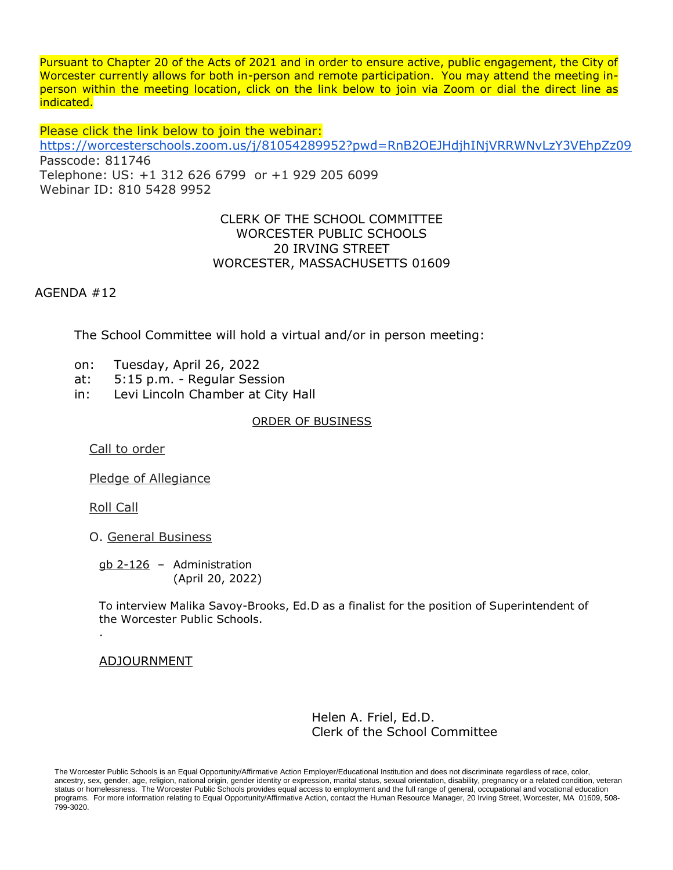Pursuant to Chapter 20 of the Acts of 2021 and in order to ensure active, public engagement, the City of Worcester currently allows for both in-person and remote participation. You may attend the meeting inperson within the meeting location, click on the link below to join via Zoom or dial the direct line as indicated.

Please click the link below to join the webinar: <https://worcesterschools.zoom.us/j/81054289952?pwd=RnB2OEJHdjhINjVRRWNvLzY3VEhpZz09> Passcode: 811746 Telephone: US: +1 312 626 6799 or +1 929 205 6099 Webinar ID: 810 5428 9952

# CLERK OF THE SCHOOL COMMITTEE WORCESTER PUBLIC SCHOOLS 20 IRVING STREET WORCESTER, MASSACHUSETTS 01609

AGENDA #12

The School Committee will hold a virtual and/or in person meeting:

- on: Tuesday, April 26, 2022
- at: 5:15 p.m. Regular Session
- in: Levi Lincoln Chamber at City Hall

#### ORDER OF BUSINESS

Call to order

Pledge of Allegiance

Roll Call

.

O. General Business

gb 2-126 – Administration (April 20, 2022)

To interview Malika Savoy-Brooks, Ed.D as a finalist for the position of Superintendent of the Worcester Public Schools.

## ADJOURNMENT

Helen A. Friel, Ed.D. Clerk of the School Committee

The Worcester Public Schools is an Equal Opportunity/Affirmative Action Employer/Educational Institution and does not discriminate regardless of race, color, ancestry, sex, gender, age, religion, national origin, gender identity or expression, marital status, sexual orientation, disability, pregnancy or a related condition, veteran status or homelessness. The Worcester Public Schools provides equal access to employment and the full range of general, occupational and vocational education programs. For more information relating to Equal Opportunity/Affirmative Action, contact the Human Resource Manager, 20 Irving Street, Worcester, MA 01609, 508-799-3020.